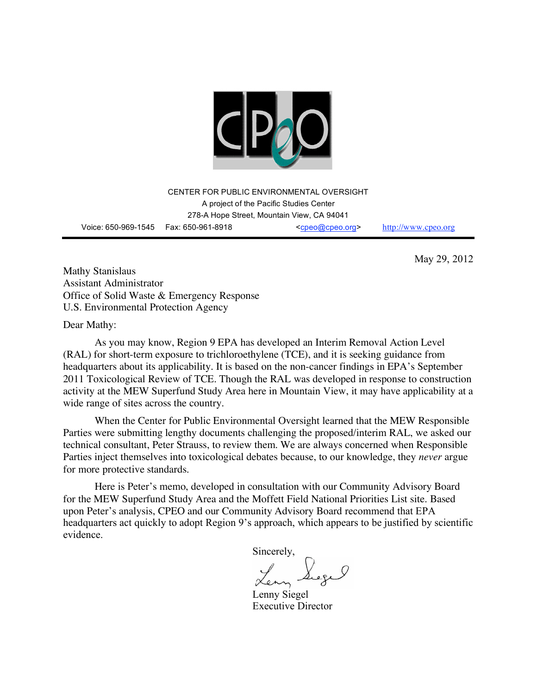

CENTER FOR PUBLIC ENVIRONMENTAL OVERSIGHT A project of the Pacific Studies Center 278-A Hope Street, Mountain View, CA 94041 Voice: 650-969-1545 Fax: 650-961-8918 <cpeo@cpeo.org> http://www.cpeo.org

May 29, 2012

Mathy Stanislaus Assistant Administrator Office of Solid Waste & Emergency Response U.S. Environmental Protection Agency

Dear Mathy:

As you may know, Region 9 EPA has developed an Interim Removal Action Level (RAL) for short-term exposure to trichloroethylene (TCE), and it is seeking guidance from headquarters about its applicability. It is based on the non-cancer findings in EPA's September 2011 Toxicological Review of TCE. Though the RAL was developed in response to construction activity at the MEW Superfund Study Area here in Mountain View, it may have applicability at a wide range of sites across the country.

When the Center for Public Environmental Oversight learned that the MEW Responsible Parties were submitting lengthy documents challenging the proposed/interim RAL, we asked our technical consultant, Peter Strauss, to review them. We are always concerned when Responsible Parties inject themselves into toxicological debates because, to our knowledge, they *never* argue for more protective standards.

Here is Peter's memo, developed in consultation with our Community Advisory Board for the MEW Superfund Study Area and the Moffett Field National Priorities List site. Based upon Peter's analysis, CPEO and our Community Advisory Board recommend that EPA headquarters act quickly to adopt Region 9's approach, which appears to be justified by scientific evidence.

Sincerely,

Lenny Siegel Executive Director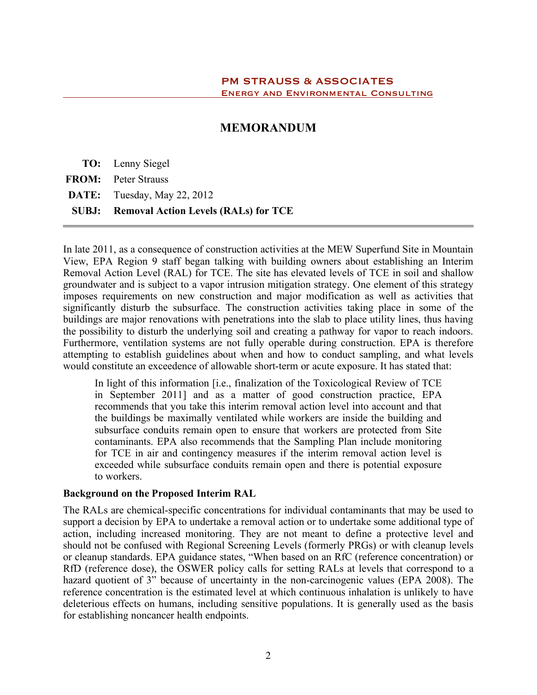# **MEMORANDUM**

**TO:** Lenny Siegel **FROM:** Peter Strauss **DATE:** Tuesday, May 22, 2012 **SUBJ: Removal Action Levels (RALs) for TCE**

In late 2011, as a consequence of construction activities at the MEW Superfund Site in Mountain View, EPA Region 9 staff began talking with building owners about establishing an Interim Removal Action Level (RAL) for TCE. The site has elevated levels of TCE in soil and shallow groundwater and is subject to a vapor intrusion mitigation strategy. One element of this strategy imposes requirements on new construction and major modification as well as activities that significantly disturb the subsurface. The construction activities taking place in some of the buildings are major renovations with penetrations into the slab to place utility lines, thus having the possibility to disturb the underlying soil and creating a pathway for vapor to reach indoors. Furthermore, ventilation systems are not fully operable during construction. EPA is therefore attempting to establish guidelines about when and how to conduct sampling, and what levels would constitute an exceedence of allowable short-term or acute exposure. It has stated that:

In light of this information [i.e., finalization of the Toxicological Review of TCE in September 2011] and as a matter of good construction practice, EPA recommends that you take this interim removal action level into account and that the buildings be maximally ventilated while workers are inside the building and subsurface conduits remain open to ensure that workers are protected from Site contaminants. EPA also recommends that the Sampling Plan include monitoring for TCE in air and contingency measures if the interim removal action level is exceeded while subsurface conduits remain open and there is potential exposure to workers.

### **Background on the Proposed Interim RAL**

The RALs are chemical-specific concentrations for individual contaminants that may be used to support a decision by EPA to undertake a removal action or to undertake some additional type of action, including increased monitoring. They are not meant to define a protective level and should not be confused with Regional Screening Levels (formerly PRGs) or with cleanup levels or cleanup standards. EPA guidance states, "When based on an RfC (reference concentration) or RfD (reference dose), the OSWER policy calls for setting RALs at levels that correspond to a hazard quotient of 3" because of uncertainty in the non-carcinogenic values (EPA 2008). The reference concentration is the estimated level at which continuous inhalation is unlikely to have deleterious effects on humans, including sensitive populations. It is generally used as the basis for establishing noncancer health endpoints.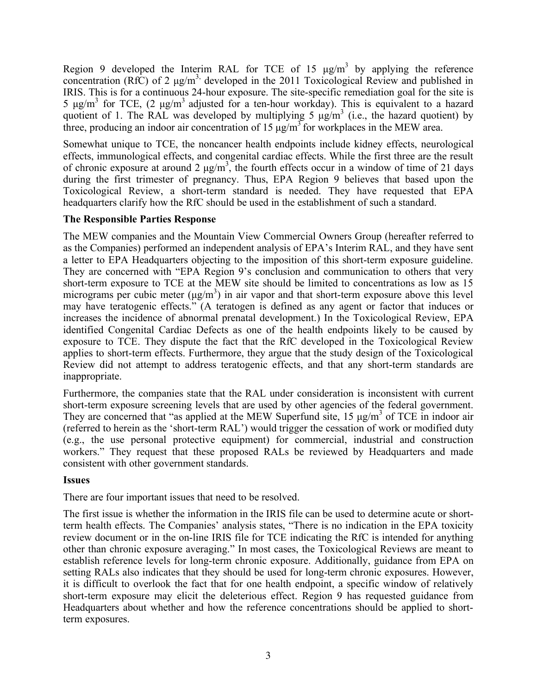Region 9 developed the Interim RAL for TCE of 15  $\mu$ g/m<sup>3</sup> by applying the reference concentration (RfC) of 2  $\mu$ g/m<sup>3,</sup> developed in the 2011 Toxicological Review and published in IRIS. This is for a continuous 24-hour exposure. The site-specific remediation goal for the site is 5  $\mu$ g/m<sup>3</sup> for TCE, (2  $\mu$ g/m<sup>3</sup> adjusted for a ten-hour workday). This is equivalent to a hazard quotient of 1. The RAL was developed by multiplying 5  $\mu$ g/m<sup>3</sup> (i.e., the hazard quotient) by three, producing an indoor air concentration of  $15 \mu g/m<sup>3</sup>$  for workplaces in the MEW area.

Somewhat unique to TCE, the noncancer health endpoints include kidney effects, neurological effects, immunological effects, and congenital cardiac effects. While the first three are the result of chronic exposure at around 2  $\mu$ g/m<sup>3</sup>, the fourth effects occur in a window of time of 21 days during the first trimester of pregnancy. Thus, EPA Region 9 believes that based upon the Toxicological Review, a short-term standard is needed. They have requested that EPA headquarters clarify how the RfC should be used in the establishment of such a standard.

# **The Responsible Parties Response**

The MEW companies and the Mountain View Commercial Owners Group (hereafter referred to as the Companies) performed an independent analysis of EPA's Interim RAL, and they have sent a letter to EPA Headquarters objecting to the imposition of this short-term exposure guideline. They are concerned with "EPA Region 9's conclusion and communication to others that very short-term exposure to TCE at the MEW site should be limited to concentrations as low as 15 micrograms per cubic meter  $(\mu g/m^3)$  in air vapor and that short-term exposure above this level may have teratogenic effects." (A teratogen is defined as any agent or factor that induces or increases the incidence of abnormal prenatal development.) In the Toxicological Review, EPA identified Congenital Cardiac Defects as one of the health endpoints likely to be caused by exposure to TCE. They dispute the fact that the RfC developed in the Toxicological Review applies to short-term effects. Furthermore, they argue that the study design of the Toxicological Review did not attempt to address teratogenic effects, and that any short-term standards are inappropriate.

Furthermore, the companies state that the RAL under consideration is inconsistent with current short-term exposure screening levels that are used by other agencies of the federal government. They are concerned that "as applied at the MEW Superfund site,  $15 \mu g/m^3$  of TCE in indoor air (referred to herein as the 'short-term RAL') would trigger the cessation of work or modified duty (e.g., the use personal protective equipment) for commercial, industrial and construction workers." They request that these proposed RALs be reviewed by Headquarters and made consistent with other government standards.

# **Issues**

There are four important issues that need to be resolved.

The first issue is whether the information in the IRIS file can be used to determine acute or shortterm health effects. The Companies' analysis states, "There is no indication in the EPA toxicity review document or in the on-line IRIS file for TCE indicating the RfC is intended for anything other than chronic exposure averaging." In most cases, the Toxicological Reviews are meant to establish reference levels for long-term chronic exposure. Additionally, guidance from EPA on setting RALs also indicates that they should be used for long-term chronic exposures. However, it is difficult to overlook the fact that for one health endpoint, a specific window of relatively short-term exposure may elicit the deleterious effect. Region 9 has requested guidance from Headquarters about whether and how the reference concentrations should be applied to shortterm exposures.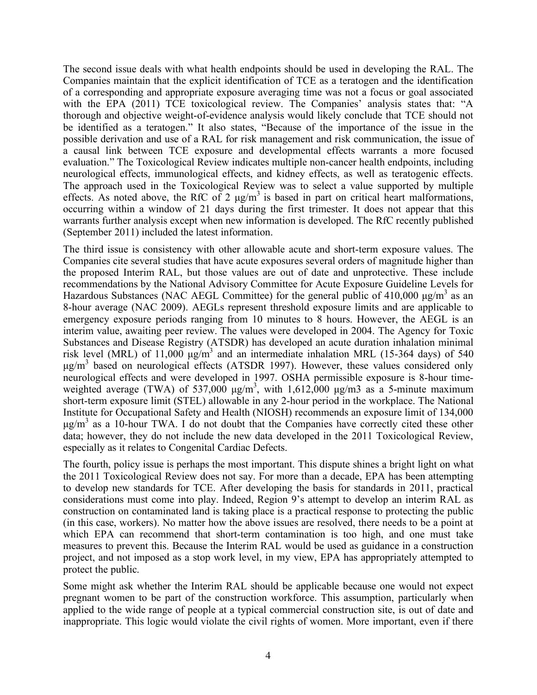The second issue deals with what health endpoints should be used in developing the RAL. The Companies maintain that the explicit identification of TCE as a teratogen and the identification of a corresponding and appropriate exposure averaging time was not a focus or goal associated with the EPA (2011) TCE toxicological review. The Companies' analysis states that: "A thorough and objective weight-of-evidence analysis would likely conclude that TCE should not be identified as a teratogen." It also states, "Because of the importance of the issue in the possible derivation and use of a RAL for risk management and risk communication, the issue of a causal link between TCE exposure and developmental effects warrants a more focused evaluation." The Toxicological Review indicates multiple non-cancer health endpoints, including neurological effects, immunological effects, and kidney effects, as well as teratogenic effects. The approach used in the Toxicological Review was to select a value supported by multiple effects. As noted above, the RfC of 2  $\mu$ g/m<sup>3</sup> is based in part on critical heart malformations, occurring within a window of 21 days during the first trimester. It does not appear that this warrants further analysis except when new information is developed. The RfC recently published (September 2011) included the latest information.

The third issue is consistency with other allowable acute and short-term exposure values. The Companies cite several studies that have acute exposures several orders of magnitude higher than the proposed Interim RAL, but those values are out of date and unprotective. These include recommendations by the National Advisory Committee for Acute Exposure Guideline Levels for Hazardous Substances (NAC AEGL Committee) for the general public of 410,000  $\mu$ g/m<sup>3</sup> as an 8-hour average (NAC 2009). AEGLs represent threshold exposure limits and are applicable to emergency exposure periods ranging from 10 minutes to 8 hours. However, the AEGL is an interim value, awaiting peer review. The values were developed in 2004. The Agency for Toxic Substances and Disease Registry (ATSDR) has developed an acute duration inhalation minimal risk level (MRL) of 11,000  $\mu$ g/m<sup>3</sup> and an intermediate inhalation MRL (15-364 days) of 540  $\mu$ g/m<sup>3</sup> based on neurological effects (ATSDR 1997). However, these values considered only neurological effects and were developed in 1997. OSHA permissible exposure is 8-hour timeweighted average (TWA) of 537,000  $\mu$ g/m<sup>3</sup>, with 1,612,000  $\mu$ g/m3 as a 5-minute maximum short-term exposure limit (STEL) allowable in any 2-hour period in the workplace. The National Institute for Occupational Safety and Health (NIOSH) recommends an exposure limit of 134,000  $\mu$ g/m<sup>3</sup> as a 10-hour TWA. I do not doubt that the Companies have correctly cited these other data; however, they do not include the new data developed in the 2011 Toxicological Review, especially as it relates to Congenital Cardiac Defects.

The fourth, policy issue is perhaps the most important. This dispute shines a bright light on what the 2011 Toxicological Review does not say. For more than a decade, EPA has been attempting to develop new standards for TCE. After developing the basis for standards in 2011, practical considerations must come into play. Indeed, Region 9's attempt to develop an interim RAL as construction on contaminated land is taking place is a practical response to protecting the public (in this case, workers). No matter how the above issues are resolved, there needs to be a point at which EPA can recommend that short-term contamination is too high, and one must take measures to prevent this. Because the Interim RAL would be used as guidance in a construction project, and not imposed as a stop work level, in my view, EPA has appropriately attempted to protect the public.

Some might ask whether the Interim RAL should be applicable because one would not expect pregnant women to be part of the construction workforce. This assumption, particularly when applied to the wide range of people at a typical commercial construction site, is out of date and inappropriate. This logic would violate the civil rights of women. More important, even if there